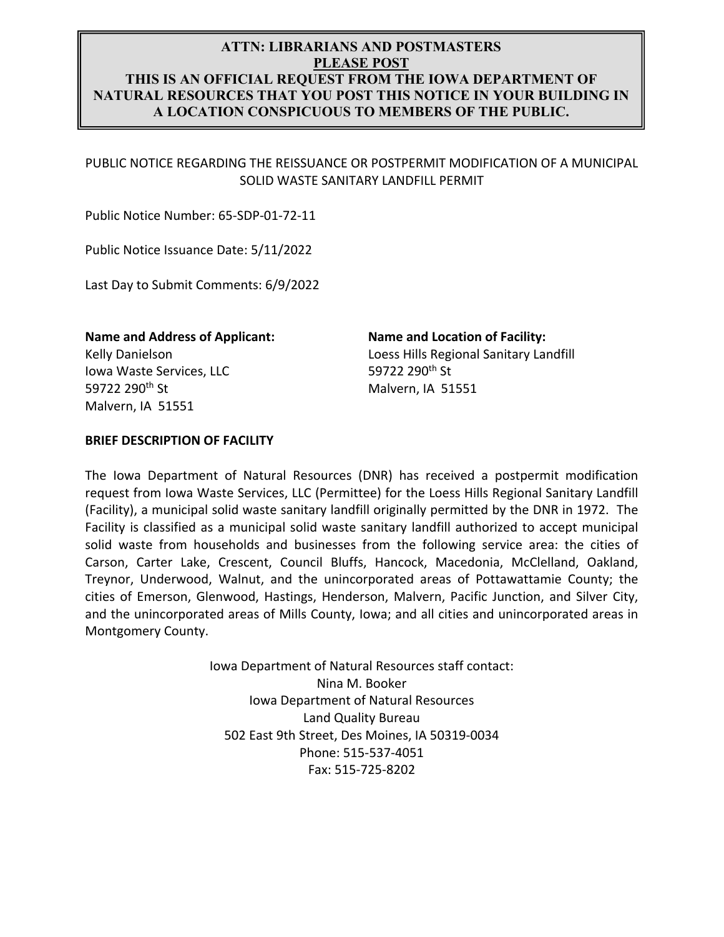# **ATTN: LIBRARIANS AND POSTMASTERS PLEASE POST THIS IS AN OFFICIAL REQUEST FROM THE IOWA DEPARTMENT OF NATURAL RESOURCES THAT YOU POST THIS NOTICE IN YOUR BUILDING IN A LOCATION CONSPICUOUS TO MEMBERS OF THE PUBLIC.**

PUBLIC NOTICE REGARDING THE REISSUANCE OR POSTPERMIT MODIFICATION OF A MUNICIPAL SOLID WASTE SANITARY LANDFILL PERMIT

Public Notice Number: 65‐SDP‐01‐72‐11

Public Notice Issuance Date: 5/11/2022

Last Day to Submit Comments: 6/9/2022

Kelly Danielson Iowa Waste Services, LLC 59722 290th St Malvern, IA 51551

**Name and Address of Applicant: Name and Location of Facility:**  Loess Hills Regional Sanitary Landfill 59722 290th St Malvern, IA 51551

#### **BRIEF DESCRIPTION OF FACILITY**

The Iowa Department of Natural Resources (DNR) has received a postpermit modification request from Iowa Waste Services, LLC (Permittee) for the Loess Hills Regional Sanitary Landfill (Facility), a municipal solid waste sanitary landfill originally permitted by the DNR in 1972. The Facility is classified as a municipal solid waste sanitary landfill authorized to accept municipal solid waste from households and businesses from the following service area: the cities of Carson, Carter Lake, Crescent, Council Bluffs, Hancock, Macedonia, McClelland, Oakland, Treynor, Underwood, Walnut, and the unincorporated areas of Pottawattamie County; the cities of Emerson, Glenwood, Hastings, Henderson, Malvern, Pacific Junction, and Silver City, and the unincorporated areas of Mills County, Iowa; and all cities and unincorporated areas in Montgomery County.

> Iowa Department of Natural Resources staff contact: Nina M. Booker Iowa Department of Natural Resources Land Quality Bureau 502 East 9th Street, Des Moines, IA 50319‐0034 Phone: 515‐537‐4051 Fax: 515‐725‐8202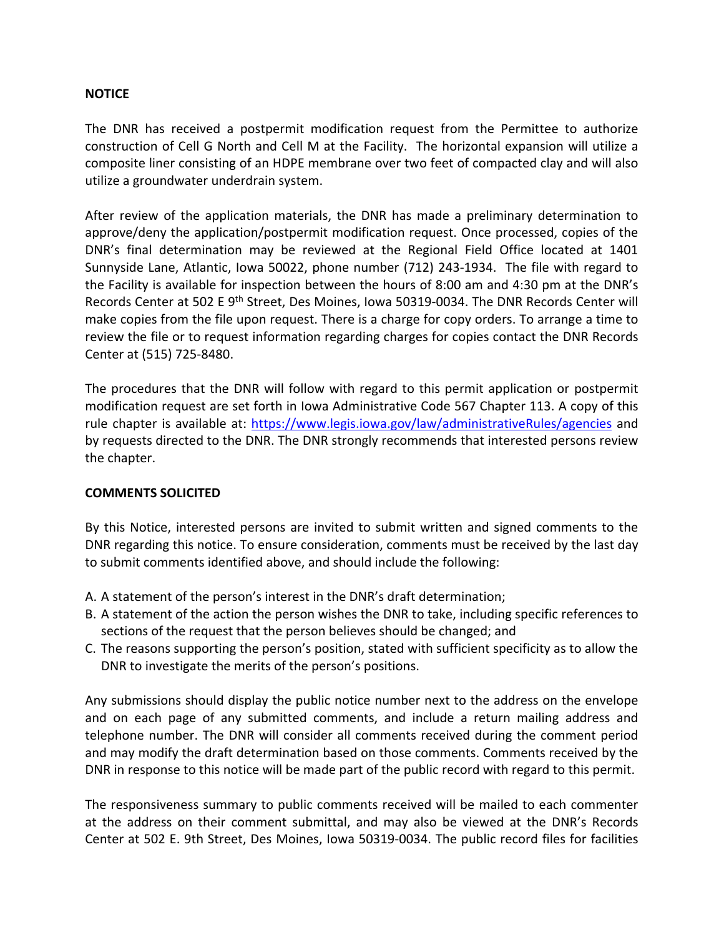## **NOTICE**

The DNR has received a postpermit modification request from the Permittee to authorize construction of Cell G North and Cell M at the Facility. The horizontal expansion will utilize a composite liner consisting of an HDPE membrane over two feet of compacted clay and will also utilize a groundwater underdrain system.

After review of the application materials, the DNR has made a preliminary determination to approve/deny the application/postpermit modification request. Once processed, copies of the DNR's final determination may be reviewed at the Regional Field Office located at 1401 Sunnyside Lane, Atlantic, Iowa 50022, phone number (712) 243-1934. The file with regard to the Facility is available for inspection between the hours of 8:00 am and 4:30 pm at the DNR's Records Center at 502 E 9<sup>th</sup> Street, Des Moines, Iowa 50319-0034. The DNR Records Center will make copies from the file upon request. There is a charge for copy orders. To arrange a time to review the file or to request information regarding charges for copies contact the DNR Records Center at (515) 725‐8480.

The procedures that the DNR will follow with regard to this permit application or postpermit modification request are set forth in Iowa Administrative Code 567 Chapter 113. A copy of this rule chapter is available at: https://www.legis.iowa.gov/law/administrativeRules/agencies and by requests directed to the DNR. The DNR strongly recommends that interested persons review the chapter.

## **COMMENTS SOLICITED**

By this Notice, interested persons are invited to submit written and signed comments to the DNR regarding this notice. To ensure consideration, comments must be received by the last day to submit comments identified above, and should include the following:

- A. A statement of the person's interest in the DNR's draft determination;
- B. A statement of the action the person wishes the DNR to take, including specific references to sections of the request that the person believes should be changed; and
- C. The reasons supporting the person's position, stated with sufficient specificity as to allow the DNR to investigate the merits of the person's positions.

Any submissions should display the public notice number next to the address on the envelope and on each page of any submitted comments, and include a return mailing address and telephone number. The DNR will consider all comments received during the comment period and may modify the draft determination based on those comments. Comments received by the DNR in response to this notice will be made part of the public record with regard to this permit.

The responsiveness summary to public comments received will be mailed to each commenter at the address on their comment submittal, and may also be viewed at the DNR's Records Center at 502 E. 9th Street, Des Moines, Iowa 50319‐0034. The public record files for facilities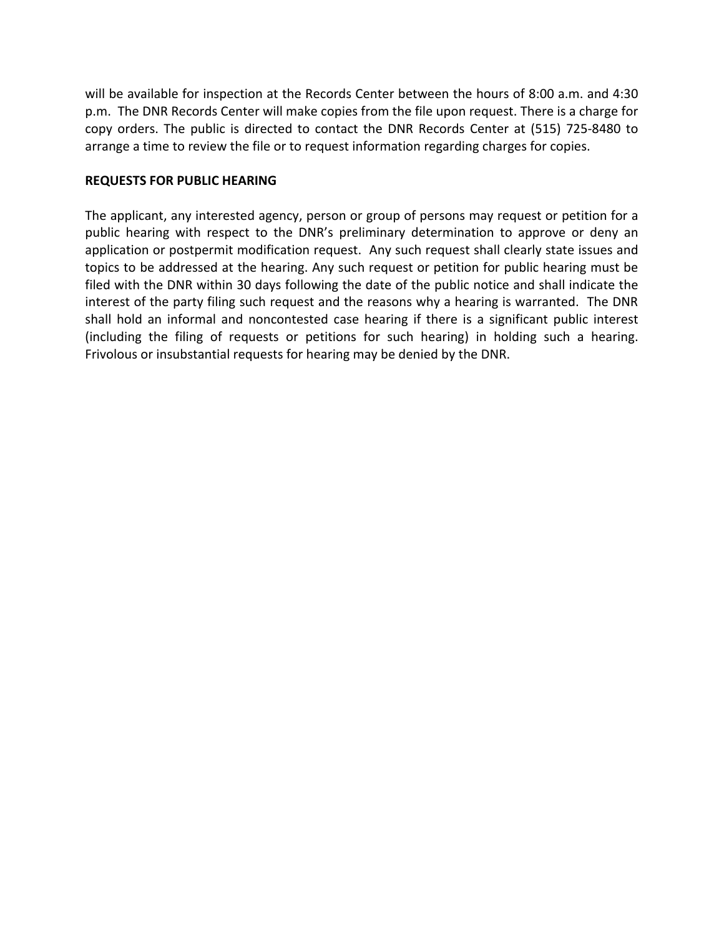will be available for inspection at the Records Center between the hours of 8:00 a.m. and 4:30 p.m. The DNR Records Center will make copies from the file upon request. There is a charge for copy orders. The public is directed to contact the DNR Records Center at (515) 725‐8480 to arrange a time to review the file or to request information regarding charges for copies.

## **REQUESTS FOR PUBLIC HEARING**

The applicant, any interested agency, person or group of persons may request or petition for a public hearing with respect to the DNR's preliminary determination to approve or deny an application or postpermit modification request. Any such request shall clearly state issues and topics to be addressed at the hearing. Any such request or petition for public hearing must be filed with the DNR within 30 days following the date of the public notice and shall indicate the interest of the party filing such request and the reasons why a hearing is warranted. The DNR shall hold an informal and noncontested case hearing if there is a significant public interest (including the filing of requests or petitions for such hearing) in holding such a hearing. Frivolous or insubstantial requests for hearing may be denied by the DNR.